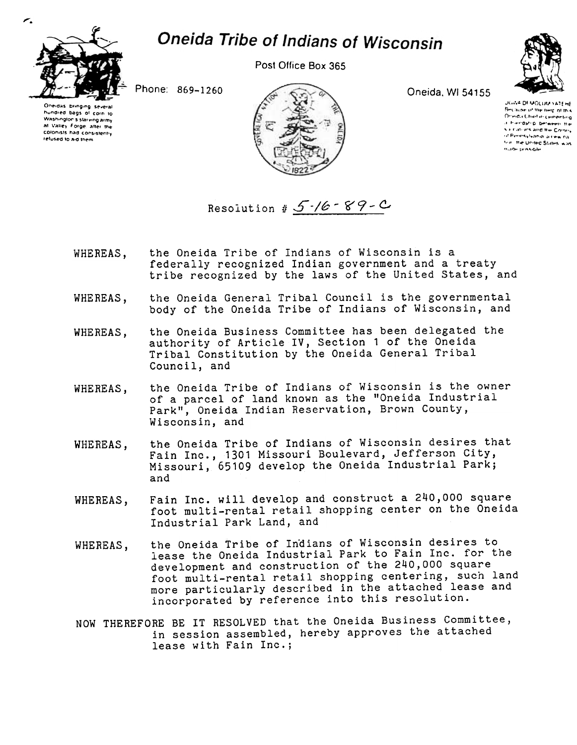

## **Oneida Tribe of Indians of Wisconsin**

Post Office Box 365



Phone: 869-1260

Oneidas bringing hundred bags of corn to Washington's starving army at Valley Forge, after the colonists had consistently refused to aid them



Oneida, WI 54155

**JONA DEMOLUM YATEHE** Because of the bein of this Orielda Chief in cementing a hierostro between the Saliciations and the Corney of Pennsylvania, a new nateal. the United States, was made possible

Resolution #  $5$ -/6 - 89 - C

- the Oneida Tribe of Indians of Wisconsin is a WHEREAS. federally recognized Indian government and a treaty tribe recognized by the laws of the United States, and
- the Oneida General Tribal Council is the governmental WHEREAS, body of the Oneida Tribe of Indians of Wisconsin, and
- the Oneida Business Committee has been delegated the WHEREAS, authority of Article IV, Section 1 of the Oneida Tribal Constitution by the Oneida General Tribal Council, and
- the Oneida Tribe of Indians of Wisconsin is the owner WHEREAS, of a parcel of land known as the "Oneida Industrial Park", Oneida Indian Reservation, Brown County, Wisconsin, and
- the Oneida Tribe of Indians of Wisconsin desires that WHEREAS. Fain Inc., 1301 Missouri Boulevard, Jefferson City, Missouri, 65109 develop the Oneida Industrial Park; and
- Fain Inc. will develop and construct a 240,000 square WHEREAS, foot multi-rental retail shopping center on the Oneida Industrial Park Land, and
- the Oneida Tribe of Indians of Wisconsin desires to WHEREAS, lease the Oneida Industrial Park to Fain Inc. for the development and construction of the 240,000 square foot multi-rental retail shopping centering, such land more particularly described in the attached lease and incorporated by reference into this resolution.
- NOW THEREFORE BE IT RESOLVED that the Oneida Business Committee, in session assembled, hereby approves the attached lease with Fain Inc.;

r.